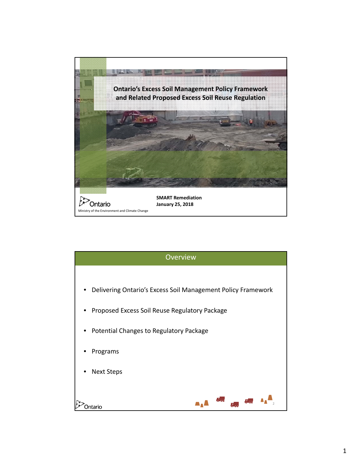

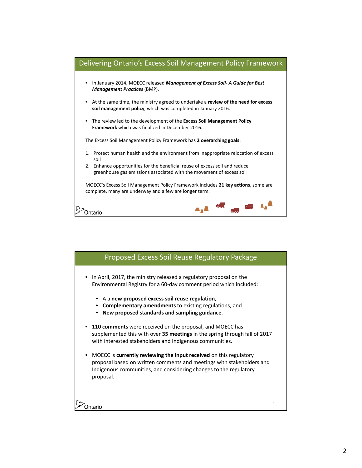

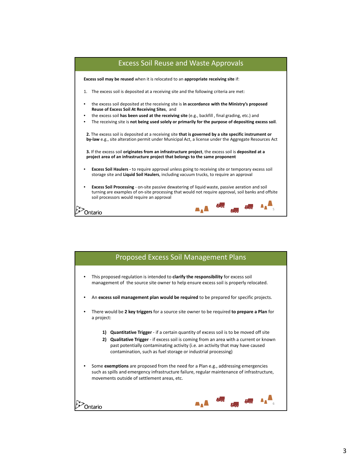

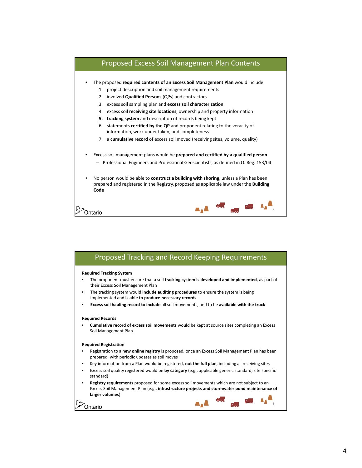

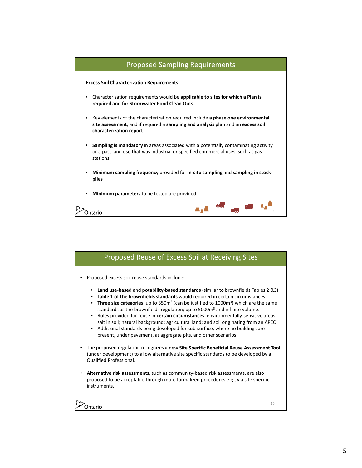

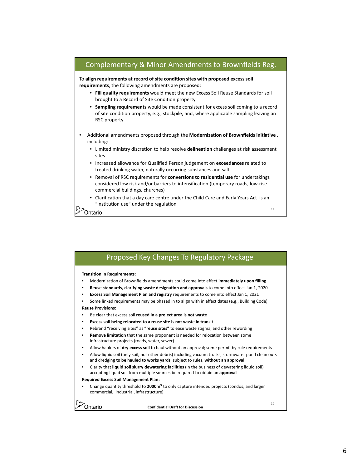

| Proposed Key Changes To Regulatory Package                                                                                                                                                                                                                                                                                                                                                                                                                                                                                                                                                                 |
|------------------------------------------------------------------------------------------------------------------------------------------------------------------------------------------------------------------------------------------------------------------------------------------------------------------------------------------------------------------------------------------------------------------------------------------------------------------------------------------------------------------------------------------------------------------------------------------------------------|
| <b>Transition in Requirements:</b><br>Modernization of Brownfields amendments could come into effect <b>immediately upon filling</b><br>Reuse standards, clarifying waste designation and approvals to come into effect Jan 1, 2020<br><b>Excess Soil Management Plan and registry requirements to come into effect Jan 1, 2021</b><br>Some linked requirements may be phased in to align with in effect dates (e.g., Building Code)<br><b>Reuse Provisions:</b><br>Be clear that excess soil reused in a project area is not waste<br>Excess soil being relocated to a reuse site is not waste in transit |
| Rebrand "receiving sites" as "reuse sites" to ease waste stigma, and other rewording<br><b>Remove limitation</b> that the same proponent is needed for relocation between some<br>infrastructure projects (roads, water, sewer)                                                                                                                                                                                                                                                                                                                                                                            |
| Allow haulers of dry excess soil to haul without an approval; some permit by rule requirements<br>Allow liquid soil (only soil, not other debris) including vacuum trucks, stormwater pond clean outs<br>and dredging to be hauled to works yards, subject to rules, without an approval<br>Clarity that liquid soil slurry dewatering facilities (in the business of dewatering liquid soil)                                                                                                                                                                                                              |
| accepting liquid soil from multiple sources be required to obtain an approval<br><b>Required Excess Soil Management Plan:</b><br>Change quantity threshold to 2000m <sup>3</sup> to only capture intended projects (condos, and larger<br>commercial, industrial, infrastructure)                                                                                                                                                                                                                                                                                                                          |
| 12<br><b>Confidential Draft for Discussion</b>                                                                                                                                                                                                                                                                                                                                                                                                                                                                                                                                                             |